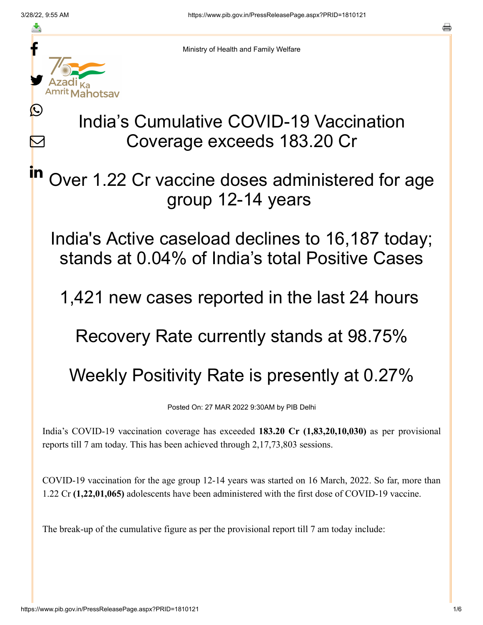≛

L

 $\boldsymbol{\mathsf{M}}$ 

in



Ministry of Health and Family Welfare

## India's Cumulative COVID-19 Vaccination Coverage exceeds 183.20 Cr

Over 1.22 Cr vaccine doses administered for age group 12-14 years

India's Active caseload declines to 16,187 today; stands at 0.04% of India's total Positive Cases

1,421 new cases reported in the last 24 hours

Recovery Rate currently stands at 98.75%

Weekly Positivity Rate is presently at 0.27%

Posted On: 27 MAR 2022 9:30AM by PIB Delhi

India's COVID-19 vaccination coverage has exceeded **183.20 Cr (1,83,20,10,030)** as per provisional reports till 7 am today. This has been achieved through 2,17,73,803 sessions.

COVID-19 vaccination for the age group 12-14 years was started on 16 March, 2022. So far, more than 1.22 Cr **(1,22,01,065)** adolescents have been administered with the first dose of COVID-19 vaccine.

The break-up of the cumulative figure as per the provisional report till 7 am today include: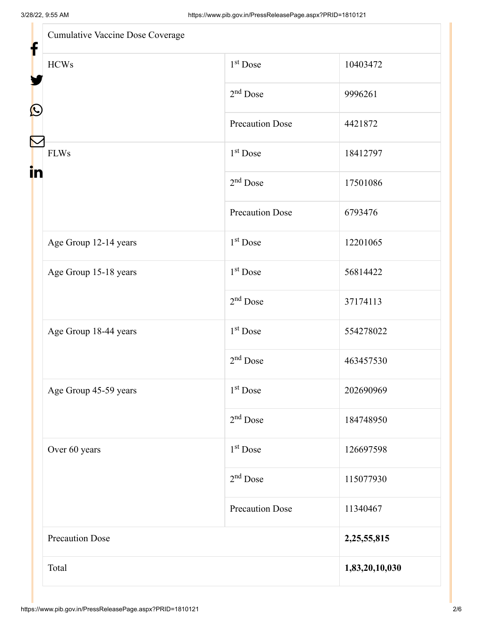| Cumulative Vaccine Dose Coverage |                        |                |
|----------------------------------|------------------------|----------------|
| <b>HCWs</b>                      | 1 <sup>st</sup> Dose   | 10403472       |
|                                  | $2nd$ Dose             | 9996261        |
|                                  | <b>Precaution Dose</b> | 4421872        |
| <b>FLWs</b><br>in                | 1 <sup>st</sup> Dose   | 18412797       |
|                                  | $2nd$ Dose             | 17501086       |
|                                  | <b>Precaution Dose</b> | 6793476        |
| Age Group 12-14 years            | $1st$ Dose             | 12201065       |
| Age Group 15-18 years            | 1 <sup>st</sup> Dose   | 56814422       |
|                                  | $2nd$ Dose             | 37174113       |
| Age Group 18-44 years            | 1 <sup>st</sup> Dose   | 554278022      |
|                                  | $2nd$ Dose             | 463457530      |
| Age Group 45-59 years            | 1 <sup>st</sup> Dose   | 202690969      |
|                                  | $2nd$ Dose             | 184748950      |
| Over 60 years                    | $1st$ Dose             | 126697598      |
|                                  | $2nd$ Dose             | 115077930      |
|                                  | <b>Precaution Dose</b> | 11340467       |
| <b>Precaution Dose</b>           |                        | 2,25,55,815    |
| Total                            |                        | 1,83,20,10,030 |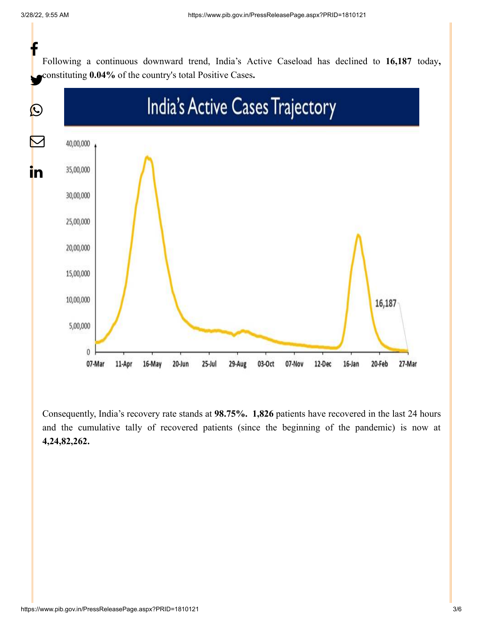Following a continuous downward trend, India's Active Caseload has declined to **16,187** today**,** constituting **0.04%** of the country's total Positive Cases**.** f



Consequently, India's recovery rate stands at **98.75%. 1,826** patients have recovered in the last 24 hours and the cumulative tally of recovered patients (since the beginning of the pandemic) is now at **4,24,82,262.**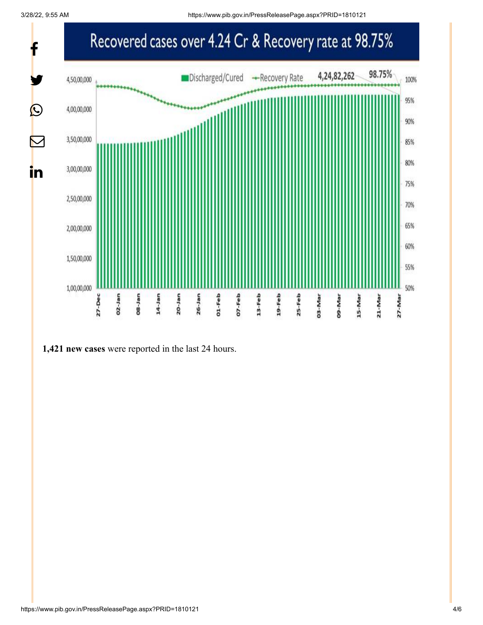3/28/22, 9:55 AM https://www.pib.gov.in/PressReleasePage.aspx?PRID=1810121



**1,421 new cases** were reported in the last 24 hours.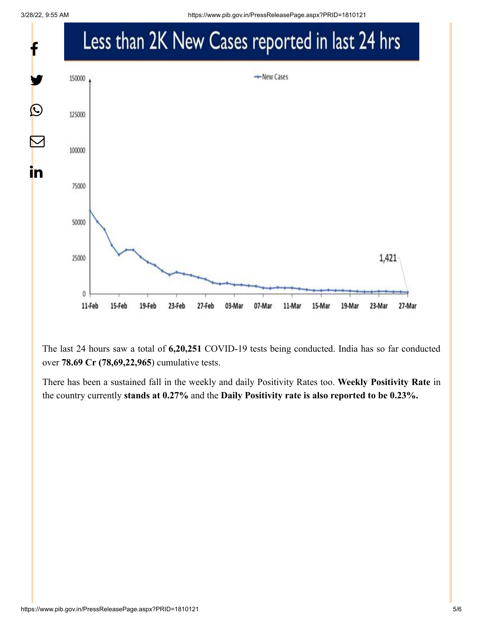

The last 24 hours saw a total of **6,20,251** COVID-19 tests being conducted. India has so far conducted over **78.69 Cr (78,69,22,965**) cumulative tests.

There has been a sustained fall in the weekly and daily Positivity Rates too. **Weekly Positivity Rate** in the country currently **stands at 0.27%** and the **Daily Positivity rate is also reported to be 0.23%.**